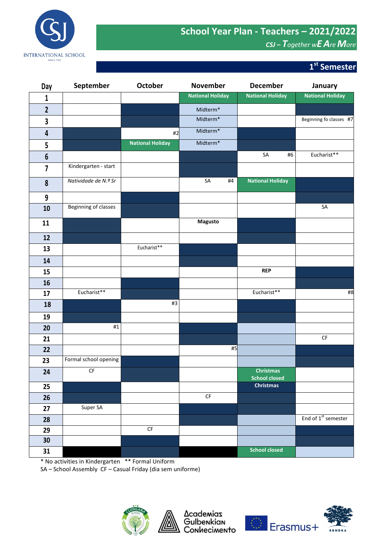## **School Year Plan - Teachers – 2021/2022** *CSJ – Together wE AreMore*



## **st Semester**

| Day                     | September              | October                 | <b>November</b>         | <b>December</b>                          | January                         |
|-------------------------|------------------------|-------------------------|-------------------------|------------------------------------------|---------------------------------|
| $\mathbf 1$             |                        |                         | <b>National Holiday</b> | <b>National Holiday</b>                  | <b>National Holiday</b>         |
| $\mathbf{2}$            |                        |                         | Midterm*                |                                          |                                 |
| 3                       |                        |                         | Midterm <sup>*</sup>    |                                          | Beginning fo classes #7         |
| 4                       |                        | #2                      | Midterm <sup>*</sup>    |                                          |                                 |
| 5                       |                        | <b>National Holiday</b> | Midterm*                |                                          |                                 |
| $\boldsymbol{6}$        |                        |                         |                         | SA<br>#6                                 | Eucharist**                     |
| $\overline{\mathbf{z}}$ | Kindergarten - start   |                         |                         |                                          |                                 |
| $\pmb{8}$               | Natividade de N.ª Sr   |                         | SA<br>#4                | <b>National Holiday</b>                  |                                 |
| 9                       |                        |                         |                         |                                          |                                 |
| 10                      | Beginning of classes   |                         |                         |                                          | SA                              |
| 11                      |                        |                         | <b>Magusto</b>          |                                          |                                 |
| 12                      |                        |                         |                         |                                          |                                 |
| 13                      |                        | Eucharist**             |                         |                                          |                                 |
| 14                      |                        |                         |                         |                                          |                                 |
| 15                      |                        |                         |                         | <b>REP</b>                               |                                 |
| 16                      |                        |                         |                         |                                          |                                 |
| 17                      | Eucharist**            |                         |                         | Eucharist**                              | #8                              |
| 18                      |                        | #3                      |                         |                                          |                                 |
| 19                      |                        |                         |                         |                                          |                                 |
| 20                      | #1                     |                         |                         |                                          |                                 |
| 21                      |                        |                         |                         |                                          | $\mathsf{C}\mathsf{F}$          |
| 22                      |                        |                         | #5                      |                                          |                                 |
| 23                      | Formal school opening  |                         |                         |                                          |                                 |
| 24                      | $\mathsf{C}\mathsf{F}$ |                         |                         | <b>Christmas</b><br><b>School closed</b> |                                 |
| 25                      |                        |                         |                         | <b>Christmas</b>                         |                                 |
| 26                      |                        |                         | $\mathsf{CF}$           |                                          |                                 |
| 27                      | Super SA               |                         |                         |                                          |                                 |
| 28                      |                        | $\mathsf{C}\mathsf{F}$  |                         |                                          | End of 1 <sup>st</sup> semester |
| 29<br>30 <sub>2</sub>   |                        |                         |                         |                                          |                                 |
| 31                      |                        |                         |                         | <b>School closed</b>                     |                                 |
|                         |                        |                         |                         |                                          |                                 |

\* No activities in Kindergarten \*\* Formal Uniform

SA – School Assembly CF – Casual Friday (dia sem uniforme)



Academias<br>Gulbenkian<br>Conhecimento